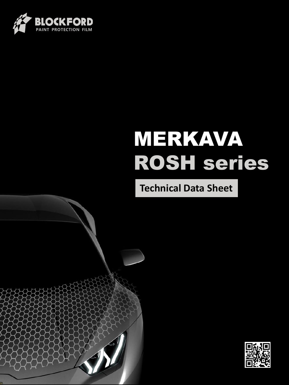

# MERKAVA ROSH series

**Technical Data Sheet**



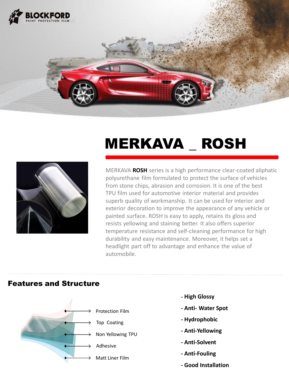

## MERKAVA \_ ROSH

MERKAVA **ROSH** series is a high performance clear-coated aliphatic polyurethane film formulated to protect the surface of vehicles from stone chips, abrasion and corrosion. It is one of the best TPU film used for automotive interior material and provides superb quality of workmanship. It can be used for interior and exterior decoration to improve the appearance of any vehicle or painted surface. ROSH is easy to apply, retains its gloss and resists yellowing and staining better. It also offers superior temperature resistance and self-cleaning performance for high durability and easy maintenance. Moreover, it helps set a headlight part off to advantage and enhance the value of automobile.

#### Features and Structure



- **High Glossy**
- **- Anti- Water Spot**
- **- Hydrophobic**
- **- Anti-Yellowing**
- **- Anti-Solvent**
- **- Anti-Fouling**
- **- Good Installation**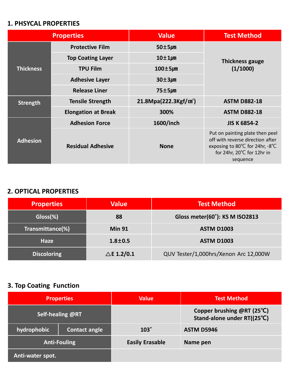#### **1. PHSYCAL PROPERTIES**

| <b>Properties</b> |                            | <b>Value</b>                       | <b>Test Method</b>                                                                                                                                                   |  |
|-------------------|----------------------------|------------------------------------|----------------------------------------------------------------------------------------------------------------------------------------------------------------------|--|
| <b>Thickness</b>  | <b>Protective Film</b>     | $50\pm5\mu$ m                      | <b>Thickness gauge</b>                                                                                                                                               |  |
|                   | <b>Top Coating Layer</b>   | $10\pm1\mu$ m                      |                                                                                                                                                                      |  |
|                   | <b>TPU Film</b>            | $100 \pm 5 \mu m$                  | (1/1000)                                                                                                                                                             |  |
|                   | <b>Adhesive Layer</b>      | $30\pm3\mu$ m                      |                                                                                                                                                                      |  |
|                   | <b>Release Liner</b>       | $75±5\mu$ m                        |                                                                                                                                                                      |  |
| <b>Strength</b>   | <b>Tensile Strength</b>    | 21.8Mpa(222.3Kgf/cm <sup>2</sup> ) | <b>ASTM D882-18</b>                                                                                                                                                  |  |
|                   | <b>Elongation at Break</b> | 300%                               | <b>ASTM D882-18</b>                                                                                                                                                  |  |
| <b>Adhesion</b>   | <b>Adhesion Force</b>      | 1600/inch                          | <b>JIS K 6854-2</b>                                                                                                                                                  |  |
|                   | <b>Residual Adhesive</b>   | <b>None</b>                        | Put on painting plate then peel<br>off with reverse direction after<br>exposing to 80 $\degree$ C for 24hr, -8 $\degree$ C<br>for 24hr, 20°C for 12hr in<br>sequence |  |

#### **2. OPTICAL PROPERTIES**

| <b>Properties</b>  | <b>Value</b>          | <b>Test Method</b>                    |
|--------------------|-----------------------|---------------------------------------|
| $Gloss(\%)$        | 88                    | Gloss meter(60°): KS M ISO2813        |
| Transmittance(%)   | <b>Min 91</b>         | <b>ASTM D1003</b>                     |
| <b>Haze</b>        | $1.8 \pm 0.5$         | <b>ASTM D1003</b>                     |
| <b>Discoloring</b> | $\triangle$ E 1.2/0.1 | QUV Tester/1,000hrs/Xenon Arc 12,000W |

### **3. Top Coating Function**

| <b>Properties</b>       |                      | <b>Value</b>           | <b>Test Method</b>                                        |
|-------------------------|----------------------|------------------------|-----------------------------------------------------------|
| <b>Self-healing @RT</b> |                      |                        | Copper brushing @RT (25°C)<br>Stand-alone under RT((25°C) |
| hydrophobic             | <b>Contact angle</b> | $103^\circ$            | <b>ASTM D5946</b>                                         |
| <b>Anti-Fouling</b>     |                      | <b>Easily Erasable</b> | Name pen                                                  |
| Anti-water spot.        |                      |                        |                                                           |